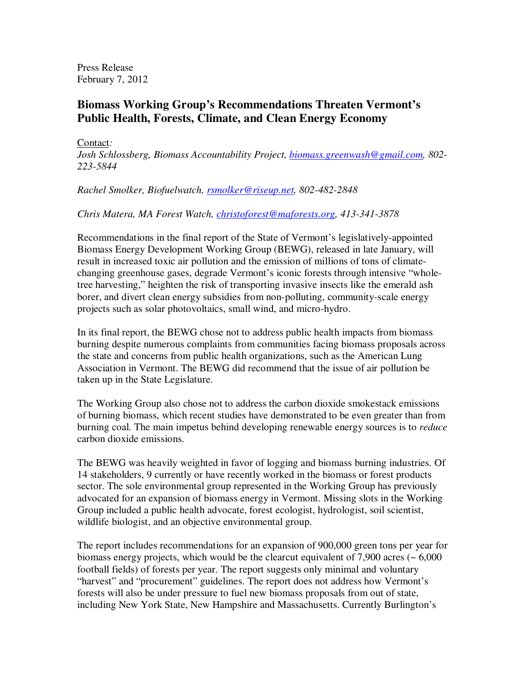Press Release February 7, 2012

## **Biomass Working Group's Recommendations Threaten Vermont's Public Health, Forests, Climate, and Clean Energy Economy**

Contact*:* 

*Josh Schlossberg, Biomass Accountability Project, biomass.greenwash@gmail.com, 802- 223-5844* 

*Rachel Smolker, Biofuelwatch, rsmolker@riseup.net, 802-482-2848*

*Chris Matera, MA Forest Watch, christoforest@maforests.org, 413-341-3878*

Recommendations in the final report of the State of Vermont's legislatively-appointed Biomass Energy Development Working Group (BEWG), released in late January, will result in increased toxic air pollution and the emission of millions of tons of climatechanging greenhouse gases, degrade Vermont's iconic forests through intensive "wholetree harvesting," heighten the risk of transporting invasive insects like the emerald ash borer, and divert clean energy subsidies from non-polluting, community-scale energy projects such as solar photovoltaics, small wind, and micro-hydro.

In its final report, the BEWG chose not to address public health impacts from biomass burning despite numerous complaints from communities facing biomass proposals across the state and concerns from public health organizations, such as the American Lung Association in Vermont. The BEWG did recommend that the issue of air pollution be taken up in the State Legislature.

The Working Group also chose not to address the carbon dioxide smokestack emissions of burning biomass, which recent studies have demonstrated to be even greater than from burning coal. The main impetus behind developing renewable energy sources is to *reduce* carbon dioxide emissions.

The BEWG was heavily weighted in favor of logging and biomass burning industries. Of 14 stakeholders, 9 currently or have recently worked in the biomass or forest products sector. The sole environmental group represented in the Working Group has previously advocated for an expansion of biomass energy in Vermont. Missing slots in the Working Group included a public health advocate, forest ecologist, hydrologist, soil scientist, wildlife biologist, and an objective environmental group.

The report includes recommendations for an expansion of 900,000 green tons per year for biomass energy projects, which would be the clearcut equivalent of  $7,900$  acres ( $\sim 6,000$ ) football fields) of forests per year. The report suggests only minimal and voluntary "harvest" and "procurement" guidelines. The report does not address how Vermont's forests will also be under pressure to fuel new biomass proposals from out of state, including New York State, New Hampshire and Massachusetts. Currently Burlington's